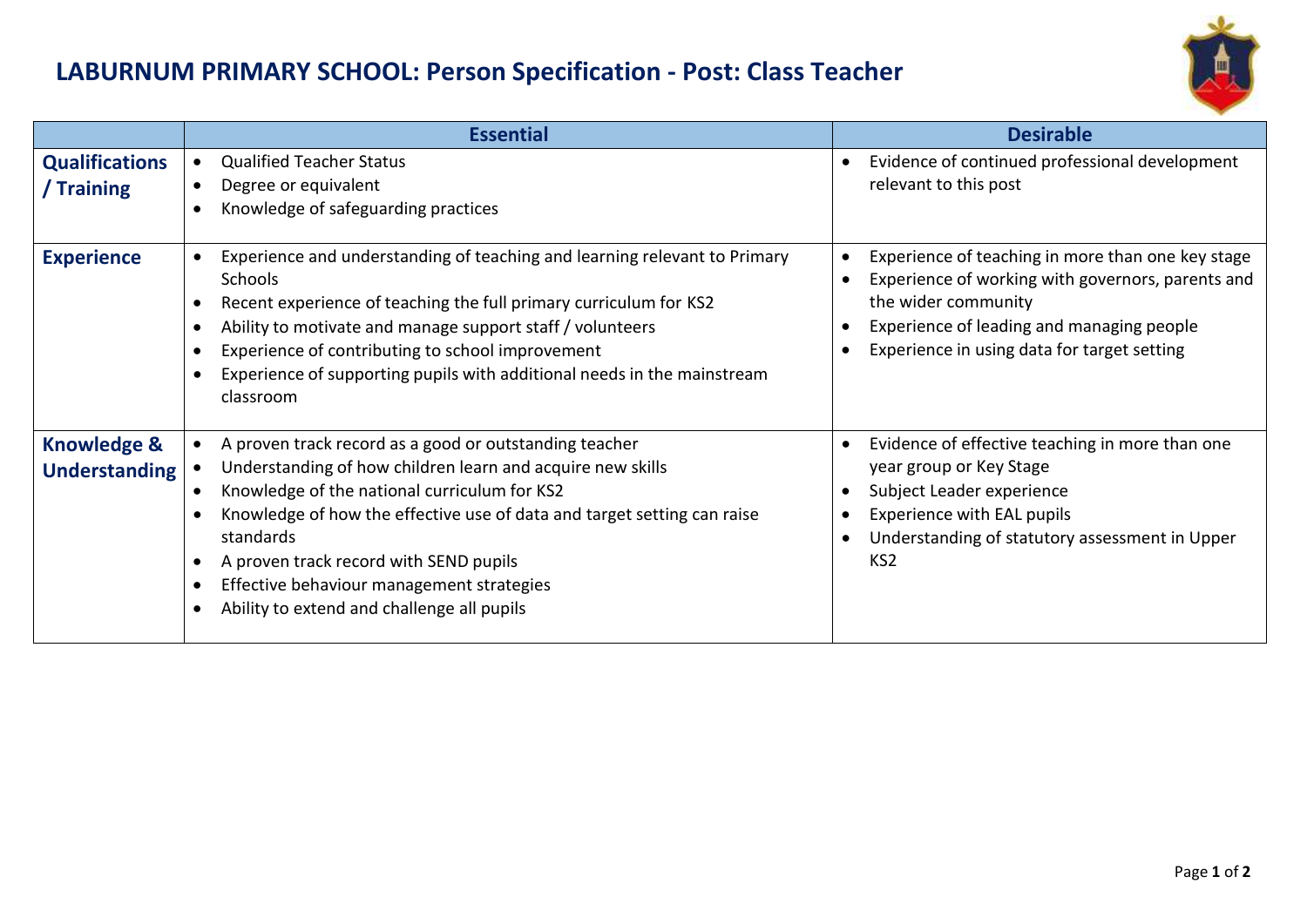## **LABURNUM PRIMARY SCHOOL: Person Specification - Post: Class Teacher**



|                                                | <b>Essential</b>                                                                                                                                                                                                                                                                                                                                                                                  | <b>Desirable</b>                                                                                                                                                                                                                                  |
|------------------------------------------------|---------------------------------------------------------------------------------------------------------------------------------------------------------------------------------------------------------------------------------------------------------------------------------------------------------------------------------------------------------------------------------------------------|---------------------------------------------------------------------------------------------------------------------------------------------------------------------------------------------------------------------------------------------------|
| <b>Qualifications</b><br>/ Training            | <b>Qualified Teacher Status</b><br>$\bullet$<br>Degree or equivalent<br>Knowledge of safeguarding practices                                                                                                                                                                                                                                                                                       | Evidence of continued professional development<br>$\bullet$<br>relevant to this post                                                                                                                                                              |
| <b>Experience</b>                              | Experience and understanding of teaching and learning relevant to Primary<br><b>Schools</b><br>Recent experience of teaching the full primary curriculum for KS2<br>Ability to motivate and manage support staff / volunteers<br>Experience of contributing to school improvement<br>Experience of supporting pupils with additional needs in the mainstream<br>classroom                         | Experience of teaching in more than one key stage<br>Experience of working with governors, parents and<br>the wider community<br>Experience of leading and managing people<br>Experience in using data for target setting<br>$\bullet$            |
| <b>Knowledge &amp;</b><br><b>Understanding</b> | A proven track record as a good or outstanding teacher<br>Understanding of how children learn and acquire new skills<br>Knowledge of the national curriculum for KS2<br>Knowledge of how the effective use of data and target setting can raise<br>standards<br>A proven track record with SEND pupils<br>Effective behaviour management strategies<br>Ability to extend and challenge all pupils | Evidence of effective teaching in more than one<br>$\bullet$<br>year group or Key Stage<br>Subject Leader experience<br>Experience with EAL pupils<br>$\bullet$<br>Understanding of statutory assessment in Upper<br>$\bullet$<br>KS <sub>2</sub> |